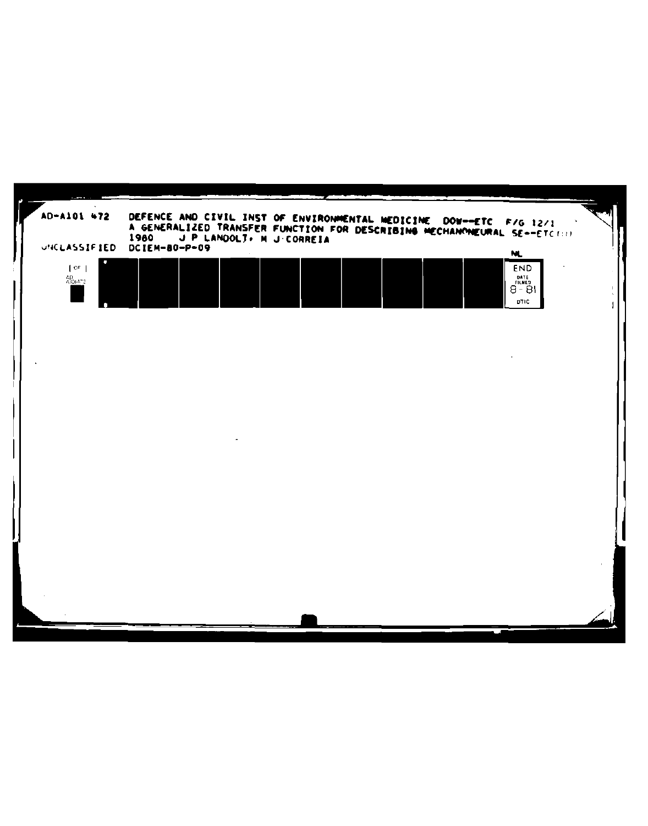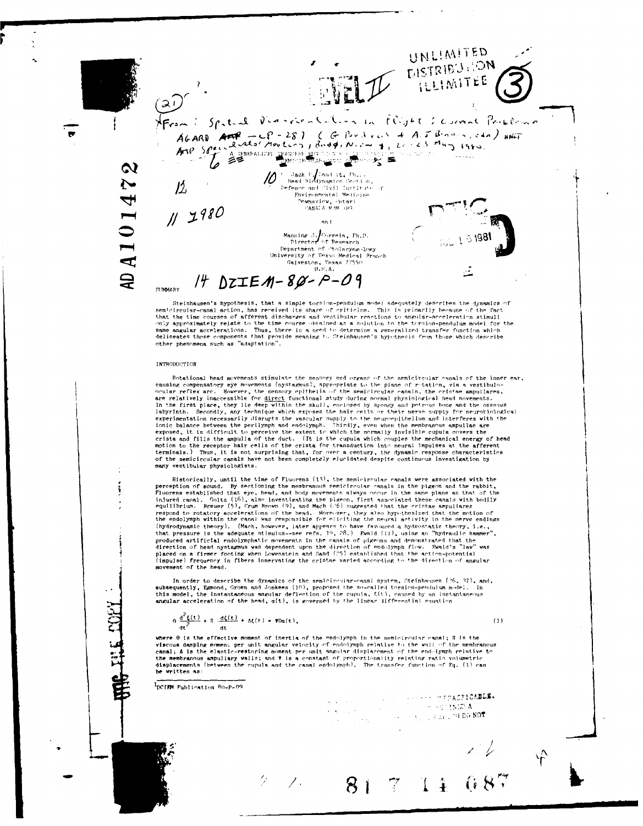UNLIMITED DISTRIBUTION **FLLIMITEE** راچ) Afrom: Spateal Violencencaline in Flight : comme Problemo AGARD AFT - CP - 28) ( G Pordaves + A.J. Brows, etc.) HAT A TENERALIZEL TEADRE BRITISH A TENERALIZEL  $\boldsymbol{\alpha}$  $\bigotimes_{\mathbb{Z}} \mathop{\text{Jack}}_{\text{Head/Hidden}} \mathop{\text{Jack}}_{\text{Standard/Sp}} \mathop{\text{F}}_{\text{final}} \mathop{\text{F}}_{\text{final}} \mathop{\text{F}}_{\text{total}} \mathop{\text{F}}_{\text{total}}$ Ņ  $12<sub>o</sub>$ Environmental Medicine 4 Downsview, Ontari<br>CANALA MRM RPO  $112980$ AD A 101 an-t **16916** 1 JUN Manning J. Correia, Fh.D.<br>- Director of Besearch<br>Department of Ctolaryngology University of Texas Medical Branch<br>Galveston, Texas 77550  $U.S.A.$  $14$  DZIEM-80-P-09 SUMMARY Steinhausen's hypothesis, that a simple torsion-pendulum model adequately describes the dynamics of semicircular-canal action, has received its share of criticism. This is primarily because of the fact<br>that the time courses of afferent discharges and vestibilism. This is primarily because of the fact<br>that the time course other phenomena such as "adaptation". INTRODUCTION Rotational head movements stimulate the sensory end organs of the semicircular canals of the inner ear, notational near movements stimulate the sensity end organis of the sensitive compensation of the parameters of the plane of ritation, via a vestibule-<br>ceular reflex arc. However, the sensory opithelia of the sensitively an labyrinth. Secondly, any technique which exposes the hair cells or their nerve supply for neurobiological<br>experimentation necessarily disrupts the vascular supply to the neuro-pithelium and interferes with the<br>incident ba many vestibular physiologists. Historically, until the time of Fluorens (13), the semicircular canals were associated with the exercision of sound. By sectioning the membranous semicircular change in the pigeon and the rabbit,<br>Fluorens established that eye, head, and holy movements always occur in the same plane as that of the<br>injured canal. Goltz the endolymmination the cannal was responsible for elliption are favorited that in the nerve ending<br>the product theory). (Mach, however, later appears to have favoried a hydrostatic theory, i.e.,<br>that pressure is the adeq movement of the head. In order to describe the dynamics of the semicircular-canal system, Steinhausen (26, 37), and, subsequently, Egmond, Groen and Jonkees (10), proposed the so-called torsion-pendulum model. In this model, the instantaneous angular deflection of the cupula,  $E(t)$ , caused by an instantaneous angular acceleration of the head,  $a(t)$ , is governed by the linear differential equation  $\theta \frac{d^2 \xi(t)}{dt^2} + \pi \frac{d\xi(t)}{dt^2} + \Delta \xi(t) = \Psi 0 \alpha(t),$  $(1)$ where 0 is the effective moment of inertia of the endolymph in the semicircular canal: N is the where o is the electric moment on intertion of the endoughaph in the semicircular changes of the main of the membranou canal; A is the elastic-restoring moment per unit angular displacement of the end-lymph relative to the be written as:

PDCTEM Publication 80-P-09

4

 $\mathcal{F}$ .

man til stor stad og stad i til <mark>har stærst om bær.</mark><br>1990 - Sammen stad i stad i til har stad i til har stad i stad i til har stad i stad i stad i stad i stad i s  $m_{\rm{eff}}=1.3\pm0.1$  s and 24 DO NOT  $\frac{1}{2}$  ,  $\frac{1}{2}$  ,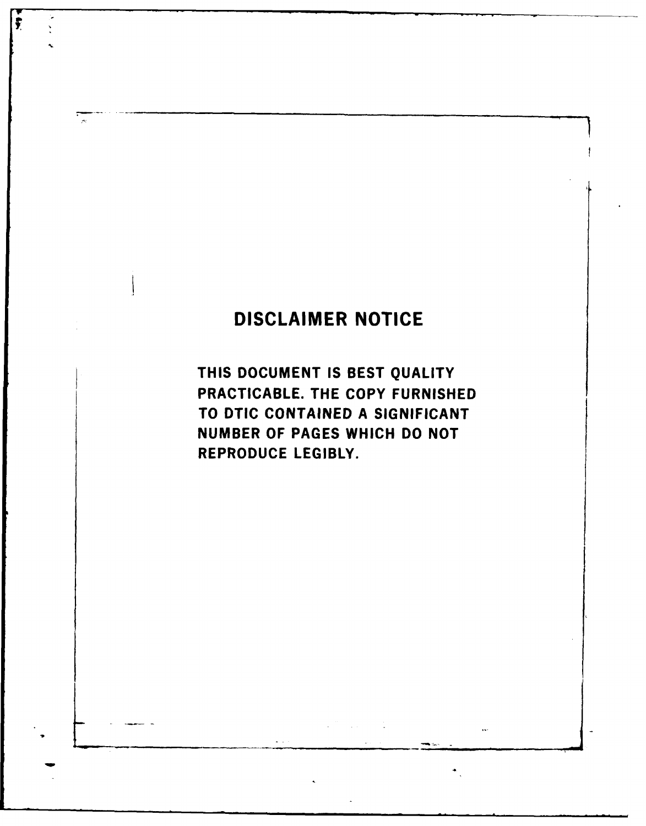# **DISCLAIMER NOTICE**

 $\overline{\mathbf{r}}$ 

 $\frac{1}{2}$ 

**THIS DOCUMENT IS BEST QUALITY** PRACTICABLE. THE COPY **FURNISHED** TO **DTIC CONTAINED A SIGNIFICANT NUMBER** OF **PAGES** WHICH **DO NOT** REPRODUCE LEGIBLY.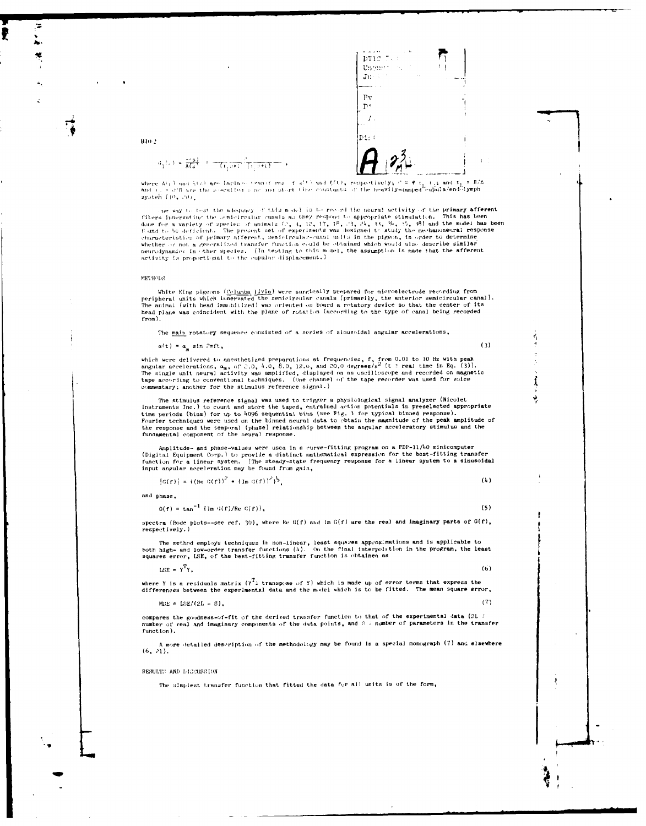| DTIC T.                   |   |
|---------------------------|---|
| Unema                     | I |
| $\mathbf{J} \mathbf{u}$ . |   |
|                           |   |
| F٧                        |   |
| ņ٠                        |   |
|                           |   |
| D1:                       |   |
|                           |   |
|                           |   |

 $\mathcal{Q}_1(\varepsilon) = \frac{\pi(\mathbf{s})}{\mathsf{A}(\mathbf{s})} - \frac{\pi}{\mathsf{A}(\varepsilon)} \frac{\pi}{\mathsf{A}(\varepsilon)} \frac{\pi}{\mathsf{A}(\varepsilon)} \frac{\pi}{\mathsf{A}(\varepsilon)} \mathsf{A}(\varepsilon)$ 

where Al<sub>3</sub>) and hist are Laplace teams: reas fully and  $f(t)$ , respectively;  $t = \Psi_{11}$  t; and  $t_i = 1/2$ <br>and  $t_j = 0$  T are the se-called some and short time constants of the heavily-damped cupula/end-lymph

she way to test the adequacy of this model is to record the neural setivity of the primary afferent the same way to the sequence of animals at the respond to appropriate stimulation. This has been<br>done for a variety of species of animals 40, 1, 1, 17, 17, 18, 23, 24, 33, 24, 35, 38) and the model has been<br>done for a vari value of not a generalized transfer function could be obtained which would also describe similar<br>neurodynamics in other species. (In testing to this model, the assumption is made that the afferent activity is proportional to the cupular displacement.)

#### METHODS

 $B10-2$ 

White King pigeons  $(\underline{c_0} \underline{u_m} \underline{b_m})$  were surgically prepared for microelectrode recording from<br>peripheral units which innervated the semicircular canals (primarily, the anterior semicircular canal).<br>The animal (with

The main rotatory sequence consisted of a series of sinusoidal angular accelerations,

 $\alpha(t) = \alpha_m \sin 2\pi ft$ ,

 $(3)$ 

 $(5)$ 

 $\frac{1}{4}$ 

which were delivered to anesthetized preparations at frequencies, f, from 0.01 to 10 Hz with peak angular accelerations,  $a_m$ , of 2.0,  $b$ .0, 8.0, 12.0, and 20.0 degrees/s<sup>2</sup> (t i real time in Eq. (3)). The single unit ne commentary; another for the stimulus reference signal.)

The stimulus reference signal was used to trigger a physiological signal analyzer (Nicolet Instruments Inc.) to count and store the taped, entrained action potentials in preselected appropriate time periods (bins) for up t Fourier techniques were used on the binned neural data to obtain the magnitude of the peak amplitude of<br>Fourier techniques were used on the binned neural data to obtain the magnitude of the peak amplitude of<br>the response a fundamental component of the neural response.

Amplitude- and phase-values were used in a curve-fitting program on a PDF-11/40 minicomputer<br>(Digital Equipment Corp.) to provide a distinct mathematical expression for the best-fitting transfer<br>function for a linear syste

 $|G(f)| = { (Re G(f))^2 + (Im G(f))^2 }^2.$  $(4)$ 

and phase,

 $\Theta(f) = \tan^{-1} (\text{Im } G(f)/\text{Re } G(f)),$ 

spectra (Bode plots--see ref. 30), where Re  $G(f)$  and Im  $G(f)$  are the real and imaginary parts of  $G(f)$ , respectively.)

The method employs techniques in non-linear, least squares approximations and is applicable to<br>both high- and low-order transfer functions  $(h)$ . On the final interpolition in the program, the least<br>squares error, LSE, of

 $LSE = Y^T Y$ ,  $(6)$ 

where Y is a residuals matrix  $(Y^T z$  transpose of Y) which is made up of error terms that express the differences between the experimental data and the model which is to be fitted. The mean square error,

 $MSE = LSE/(2L - S)$ ,  $(7)$ 

compares the goodness-of-fit of the derived transfer function to that of the experimental data (2L # number of real and imaginary components of the data points, and 8 i number of parameters in the transfer function).

A more detailed description of the methodology may be found in a special monograph (7) and elsewhere  $(6, 21)$ .

RESULTS AND LIGCUSSION

The simplest transfer function that fitted the data for all units is of the form,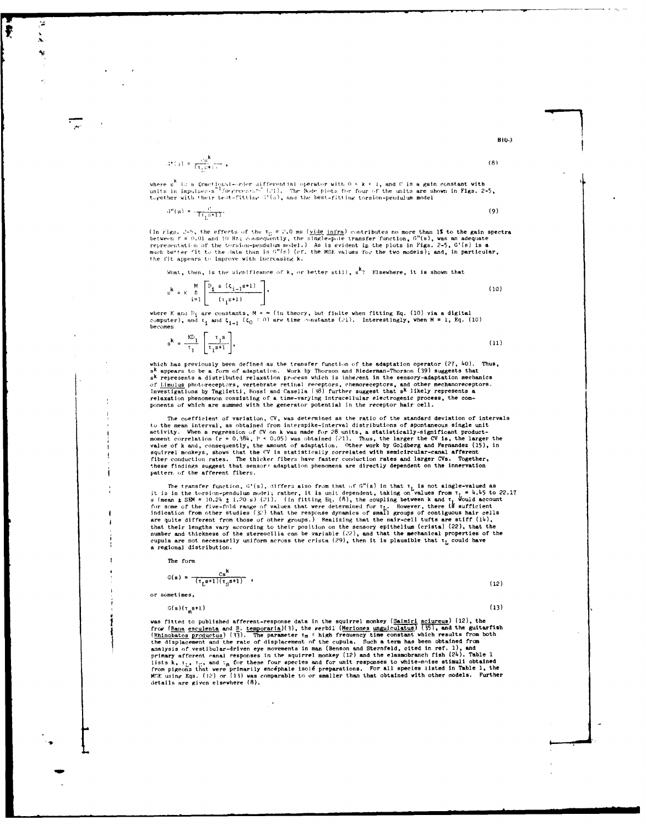$$
f^{(n)}(x) = \frac{f^{(n)}(x)}{(1 + f^{(n)}(x))^{n-1}} \,,
$$

where s<sup>k</sup> is a fractional-order differential operator with  $0 \le k \le 1$ , and C is a gain constant with units in impulses s<sup>2</sup> /degrees s<sup>2</sup> (21). The Bode plots for four of the units are shown in Figs. 2-5, together with t

 $3^n(s) = \frac{c}{\pi_{L} s + 1}$ .  $(9)$ 

(In Figs. 2-5, the effects of the  $\tau_0 = 2.0$  ms (<u>vide infra</u>) contributes no more than 1% to the gain spectra between  $f = 0.01$  and 10 Hz, consequently, the single-pole transfer function,  $G^{\text{H}}(\mathbf{s})$ , was an adequate the fit appears to improve with increasing k.

What, then, is the significance of  $k$ , or better still,  $s^k$ ? Elsewhere, it is shown that

$$
s^{k} = K \prod_{i=1}^{M} \left[ \frac{D_{i} s \left( \zeta_{i-1} s + 1 \right)}{\left( \tau_{i} s + 1 \right)} \right],
$$
\n(10)

where K and  $P_i$  are constants,  $M = \infty$  (in theory, but finite when fitting Eq. (10) via a digital<br>computer), and  $\tau_1$  and  $\tau_{i-1}$  ( $\tau_0 = 0$ ) are time constants (21). Interestingly, when  $M = 1$ , Eq. (10) becomes

 $\mathbf{s}^{\mathbf{k}} = \frac{\kappa \mathbf{D}_1}{\tau_1} \left[ \frac{\tau_1 \mathbf{s}}{\tau_1 \mathbf{s} + 1} \right],$  $(11)$ 

which has previously been defined as the transfer function of the adaptation operator (27, 40). Thus,  $s^k$  appears to be a form of adaptation. Work by Thorson and Biederman-Thorson (39) suggests that  $s^k$  represents a d a represents a user transitional receptors, chemoreceptors, and other mechanized of limiting photomeceptors, vertebrate rettial receptors, chemoreceptors, and other mechanizements.<br>Investigations by Taglietti, Rossi and Ca

The coefficient of variation, CV, was determined as the ratio of the standard deviation of intervals The coefficient of variation, tv, was determined as the radio of the manniterval, as obtained from interspike-interval distributions of spontaneous single unit activity. When a regression of CV on k was made for 28 units, states conduction rates. The thicker fibers have faster conduction rates and larger CVs. Together<br>these findings suggest that sensor: adaptation phenomena are directly dependent on the innervation Together pattern of the afferent fibers.

The transfer function,  $G'(s)$ , differs also from that of  $G''(s)$  in that  $t_L$  is not single-valued as<br>it is in the torsion-pendulum model; rather, it is unit dependent, taking on values from  $t_L = 1.5M = 10.2k \pm 1.20 \text{ s}$ ) are quite different from those of other groups.) Realizing that the nair-cell turts are stiff (14), are quite different from those of other groups.) resulting that the matricent curve and the their lengths vary expecting to their position on the sensory epithelium (crista) (22), that the number and thickness of the ster a regional distribution.

The form

$$
G(\mathbf{s}) = \frac{Cs^{n}}{(\tau_{L} s + 1)(\tau_{S} s + 1)},
$$

or sometimes,

 $G(s)(\tau_m s+1)$ 

 $(12)$  $(13)$ 

was fitted to published afferent-response data in the squirrel monkey (Saimiri sciureus) (12), the<br>froy (Rana esculents and R. temporaria)(3), the *perbil* (Meriones unguiculatus) (35), and the guitarfish<br>(Rhinobatos prod

### $B10-3$  $(8)$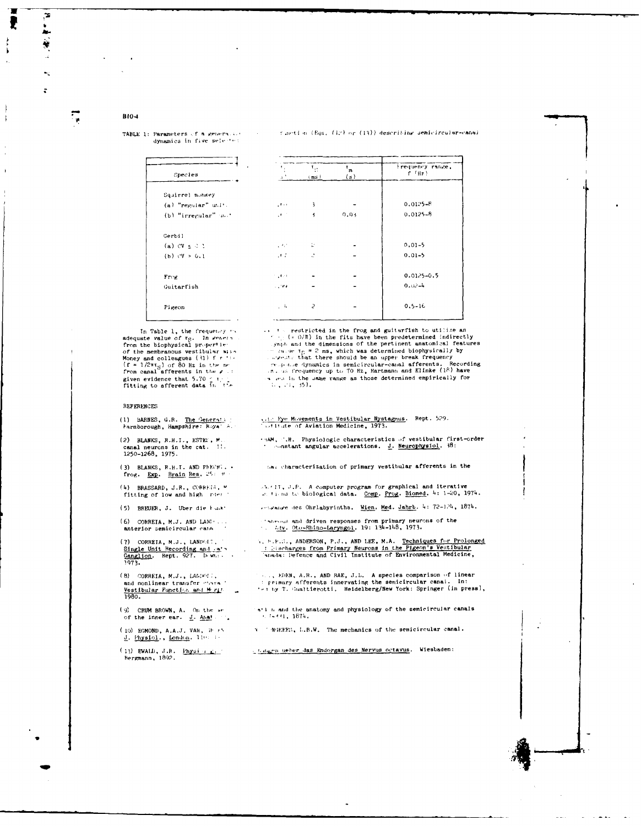#### B104

#### TABLE 1: Parameters of a generality dynamics in five selected

Spec Squirre  $(a)$  "re.  $(b)$  "ir  $Canh(1)$  $(a)$  CV  $(b)$   $cV$ 

#### function (Eqs. (12) or (13)) describing semicircular-canal

|                               |                                                           |                               |                                  | Frequency range, |
|-------------------------------|-----------------------------------------------------------|-------------------------------|----------------------------------|------------------|
| ies                           | $\tau_{\rm in}$<br>$\beta$ $^2$                           | $\mathbf{F}_{\Omega}$<br>(ms) | $\mathbf{r}_{\mathbf{m}}$<br>(s) | $f$ $(Hz)$       |
| l monkey                      |                                                           |                               |                                  |                  |
| gular" unit.                  | $\mathcal{A} \rightarrow \mathcal{A}$                     | $\overline{\mathbf{3}}$       |                                  | $0.0125 - B$     |
| regular" u. '                 | $\mathcal{A}^{\mathrm{out}}$                              | $\ddot{\phantom{1}}$          | 0.03                             | $0.0125 - B$     |
|                               |                                                           |                               |                                  |                  |
| ⊆ 0 l                         | $\mathcal{L}^{\mathcal{A}}$ , $\mathcal{L}^{\mathcal{A}}$ | t.                            |                                  | $0.01 - 5$       |
| 5.6.1                         | $\mathcal{A} \subset \mathcal{C}$                         | $\mathcal{C}$                 |                                  | $0.01 - 5$       |
|                               | $\sim 100$                                                |                               |                                  | $0.0125 - 0.5$   |
| i sh                          | 1,000                                                     |                               |                                  | $0.02 - 4$       |
|                               | , 4                                                       | $\overline{\epsilon}$         |                                  | $0.5 - 16$       |
| <b><i><u>Property</u></i></b> |                                                           |                               |                                  |                  |

In Table 1, the frequency on adequate value of rg. In wenter From the membranous vestibular site<br>Money and colleagues (31) f r 11.<br>(f = 1/2 $\pi_{S_0}$ ) of 80 Hz in the membranous (41) f r 11. given evidence that 5.70  $\leq t$ .<br>Titting to afferent data in the

Free Guitarf Pigeon

#### **REFERENCES**

## (1) BARNES, G.R. The General Marnborough, Hampshire:  $R_{0}ya^{3}$

(2) BLANKS, R.H.I., ESTER, M. canal neurons in the cat. 1!.<br>1250-1268, 1975.

(3) BLANKS, R.H.I. AND PEECHT. - frog. Exp. Brain Res. 25:  $t$ 

(4) BRASSARD, J.R., CORRETA, W fitting of low and high rder.

(5) BREUER, J. Uber die Fackt

 $(6)$  CORREIA, M.J. AND LAND ... anterior semicircular cann

(7) CORRETA, M.J., LANDGET, Single Unit Recording and An's<br>
Ganglion. Rept. 927. B.W.: .<br>
1973.

(8) CORREIA, M.J., LANDOLL, and nonlinear transfer characters.<br>
Vestibular Function and Mergian 1980.

(9) CRUM BROWN, A. On the second the inner ear.  $\underline{J}$ . Analy

(10) EGMOND, A.A.J. VAN,  $35.15$ J. Physiol., London. 110: 1-

(1) EWALD, J.R.  $\frac{\text{Physi}}{\text{Lip}}$ Bergmann, 1892.

...  $t \sim$  restricted in the frog and guitarfish to utilize an<br>  $\frac{t}{t} \leq 0/\ln$ ) in the fits have been predetermined indirectly<br>
...gaph and the dimensions of the pertinent anatomical features<br>  $\frac{t}{t}$  and the dimension we are in the same range as those determined empirically for  $1.71.35$ .

### vite Eye Movements in Vestibular Nystagmus. Rept. 529.<br>Furthered Aviation Medicine, 1973.

.AM, A. Physiologic characteristics of vestibular first-order<br>constant angular accelerations. J. Neurophysiol. 38:

that characterization of primary vestibular afferents in the

 $A+1$ , J.P. A computer program for graphical and iterative  $x$ , times to biological data. Comp. Prog. Biomed. 4: 1-20, 1974.

sensure des Ohrlabyrinths. Wien, Med. Jahrb. 4: 72-124, 1874.

Tabeous and driven responses from primary neurons of the

v. E.F.D., ANDERSON, P.J., AND LEE, M.A. Techniques for Prolonged<br>Inischarges from Primary Neurons in the Pigeon's Vestibular<br>Tanach: Defence and Civil Institute of Environmental Medicine,

..., EDEN, A.R., AND RAE, J.L. A species comparison of linear<br>: primary afferents innervating the semicircular canal. In:<br>'ei by T. Gualtierotti, Heidelberg/New York: Springer (in press),

 $\gamma$ <sup>1</sup> i and the anatomy and physiology of the semicircular canals  $\beta$   $\sim$   $\beta$   $\prec$   $\ell$  1, 1874.

3 TENGKEN, L.B.W. The mechanics of the semicircular canal.

today in ueber das Endorgan des Nervus octavus. Wiesbaden:

 $\mathbf{r}$ 

i<br>Ar Ÿ  $\ddot{\phantom{a}}$ 

 $\overline{z}$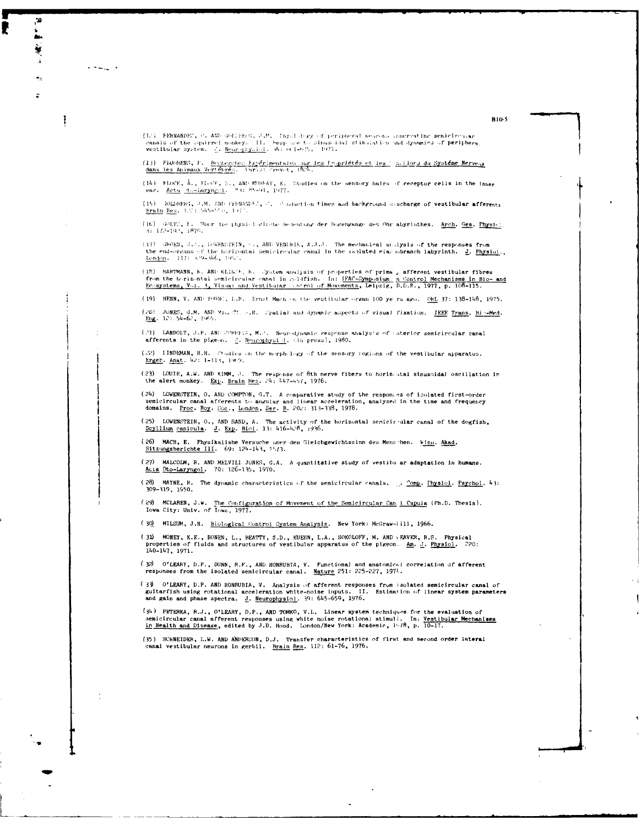(12) EERNANDET, C. AHD GOLLEEG, J.M. Thystology of peripheral neurons comerzating semicircusar ennals of the squirrel monkey. II. Hespeche to sinusoidal stimulation and dynamics of periphera<br>vestibular system. (). Rear ply.dol. do: or 1-6/5, 1971.

 $\mathbf{1}$  and  $\mathbf{1}$  and  $\mathbf{1}$ 

1

(13) FLOORENS, F. Recherches Expérimentales sur les Propriétés et les : s.liors du Systéme Nerveux<br>dans les Animaux Vertébrés. Paris: Prevet, 1824.

(14) FLOCE, A., FLOCE, S., AND MURGAY, E. Studies on the sensory hairs of receptor cells in the inner ear. Actn (to-laryngel) = 2.4: 85-91, 1977.

(15) (DOLDBERT, J.M. AM) FrERANDEL, C. Conduction times and background descharge of vestibular afferents.<br>Erain Res. 1.7: 545-550, 1977.

(16) GOLTI, F. Maer tie physic horische besteutung der Bogengange des Ohr abyrinthes. Arch. Ges. Physici. 1172-1921 1870.

(17) GROEN, J.P., DEWERGTEIN, T., ARD VENDELE, A.J.D. The mechanical analysis of the responses from<br>the end-organs of the horizontal semicircular canal in the isplated elac soranch labyrinth. <u>J. Physiol</u>., London. 117: C9-346, 1952.

(18) HARTMANN, K. AND KLIKPE, K. Gystem analysis of properties of prima , afferent vestibular fibres<br>from the horizontal semicircular canal in goldfish. In: <u>IFAC-Symposium ,n Control Mechanisms in Bio- and</u><br>Ecosystems, Vo

(19) HENN, V. AND TOBBE, L.R. Ernst Mach on the vestitular organ 100 ye rs ago. OEL 37: 138-148, 1975.

(20) JONES, G.M. ABD Milat71, w.H. Tratial and dynamic aspects of visual fixation. IEEE Trans, Bio-Med.<br>Eng. 12: 54-62, 1965.

(21) LANDOLT, J.P. AND COREFIA, M.J. Neurodynamic response analysis of suterior semicircular canal afferents in the pigeon. 2. Neurophysi 1. (in press), 1980.

 $(22)$  LINDEMAN, H.H. Studies on the morphology of the sensory regions of the vestibular apparatus. Ergeb. Anat. 42: 1-113, 1969.

(23) LOUIE, A.W. AND KIMM, J. The response of 8th nerve fibers to horizontal sinusoidal oscillation in the alert monkey. Exp. Brain Reg. 24: 447-457, 1976.

(24) LOWENSTEIN, O. AND COMPTON, G.T. A comparative study of the responses of isolated first-order semicircular canal afferents to angular and linear acceleration, analysed in the time and frequency domains. Proc. Roy. Soc., London, Ser. B. 202: 313-338, 1978.

(25) LOWENSTEIN, O., AND SAND, A. The activity of the horizontal senicir ular canal of the dogfish,  $Scylilium canicula$ . J. Exp. Biol. 13: 416-428, 1936.

(26) MACH, E. Physikalishe Versuche uper den Gleichgewichtssinn des Mens hen. Fien. Akad. Sitzungsberichte III. 69: 124-143, 15/3.

(27) MALCOLM, R. AND MELVILL JONES, G.A. A quantitative study of vestibu ar adaptation in humans. Acta Oto-Laryngol. 70: 126-135, 1970.

(28) MAYNE, R. The dynamic characteristics of the semicircular canals, ... Comp. Physiol. Psychol. 43: 309-319, 1950.

(29) MCLAREN, J.W. The Configuration of Movement of the Semicircular Can 1 Cupula (Ph.D. Thesis).<br>Iowa City: Univ. of Iowa, 1977.

(30) MILSUM, J.H. Biological Control System Analysis. New York: McGraw-iill, 1966.

(31) MONEY, K.E., BONEN, L., BEATTY, J.D., KUEHN, L.A., SOKOLOFF, M. AND \ EAVER, R.S. Physical properties of fluids and structures of vestibular apparatus of the pigeon. Am. J. Physici. 220: 140-147, 1971.

(32) O'LEARY, D.P., DUNN, R.F., AND HONRUBIA, V. Functional and anatomical correlation of afferent responses from the isolated semicircular canal. Nature 251: 225-227, 1971.

O'LEARY, D.P. AND HONRUBIA, V. Analysis of afferent responses from isolated semicircular canal of  $(33)$ guitarfish using rotational acceleration white-noise inputs. If<br>and gain and phase spectra. J. Neurophysiol. 39: 645-659, 1976. II. Estimation of linear system parameters

(34) PETERKA, R.J., O'LEARY, D.P., AND TOMKO, V.L. Linear system techniques for the evaluation of semicircular canal afferent responses using white noise rotational stimuli. In: Vestibular Mechanisms in Health and Disease, edited by J.D. Hood. London/New York: Academic,  $1^{6}/8$ , p.  $10^{-17}$ .

 $\ddot{\phantom{a}}$ 

(35) SCHNEIDER, L.W. AND ANDERSON, D.J. Transfer characteristics of first and second order lateral canal vestibular neurons in gerbil. Brain Res. 112: 61-76, 1976.

**B10-5**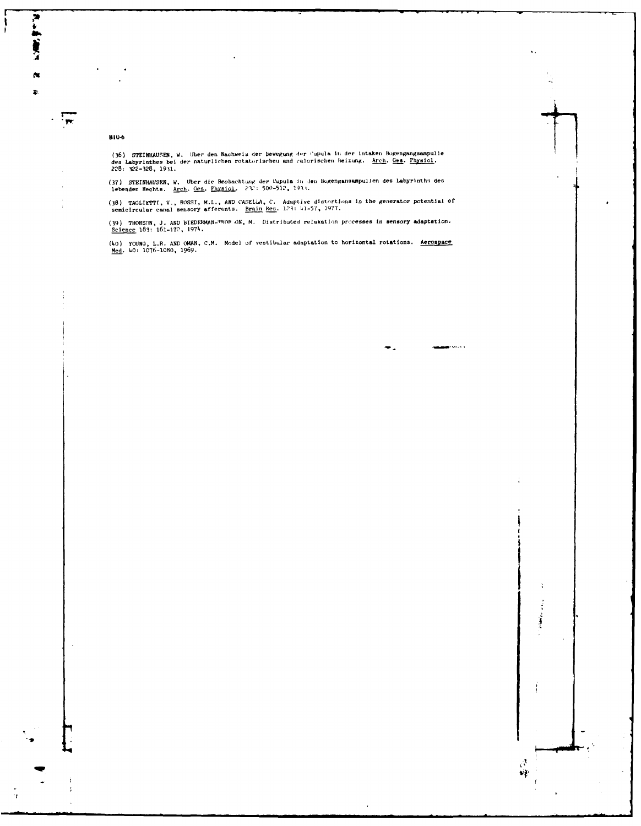#### **B10-6**

F. Pers

 $\frac{1}{\sqrt{2}}$ 

t

 $\bar{q}$ 

(36) STEINHAUSEN, W. Uber den Nachweis der Bewegung der Cupula in der intaken Bogengangsampulle<br>des Labyrinthes bei der naturlichen rotatorischeu and calorischen Beizung. A<u>rch. Ges. Physiol</u>.<br>228: 322-328, 1931.

(37) STEINHAUSEN, W. Uber die Beobachtung der Cupula in Jen Bogengansampulien des Labyrinths des<br>lebenden Hechts. Arch. Ges. Physiol. 232: 500-512, 1933.

(38) TAGLIETTI, V., ROSSI, M.L., AND CASELLA, C. Adaptive distortions in the generator potential of semicircular canal sensory afferents. Brain Res. 123: 41-57, 1977.

(39) THORSON, J. AND BIEDERMAN-"HOP ON, M. Distributed relaxation processes in sensory adaptation.<br>Science 183: 161-172, 1974.

(40) YOUNG, L.R. AND OMAN, C.M. Model of vestibular adaptation to horizontal rotations. Aerospace<br>Med. 40: 1076-1080, 1969.

 $\sum_{i=1}^{n}$ 

 $\beta$  $\mathbf{v}_V^{\mathrm{in}}$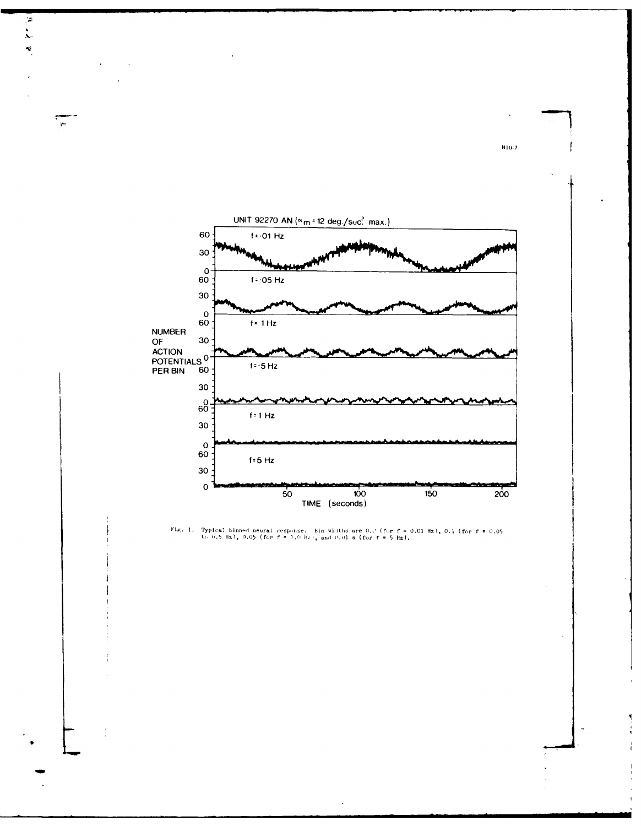

įż,



810-7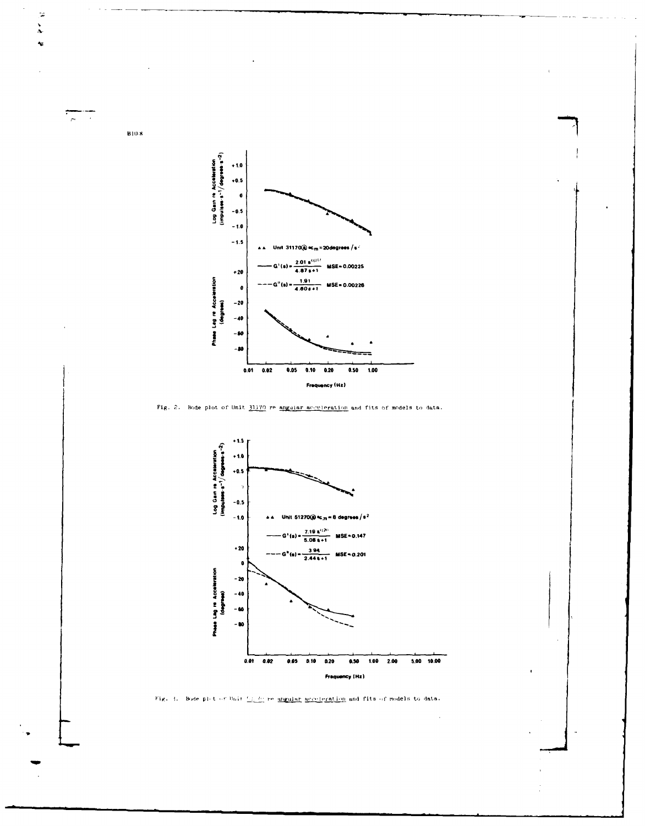Log Gain re Acceleration<br>(impulses-s<sup>-1</sup>/degrees-s<sup>-2</sup>)  $+1.0$  $+0.5$  $\pmb{\mathfrak{g}}$  $-0.5$  $-1.6$  $-1.5$ Unit 31170@  $\kappa_m$  = 20degrees /s<sup>2</sup>  $G^{+}(s) = \frac{2.01 \text{ s}^{(1,01)}}{4.87 \text{ s} + 1}$  MSE=0.00225  $+20$ Phese Leg re Acceleration<br>(degrees)  $---G''(a) = \frac{1.91}{4.60s + 1}$  MSE= 0.00226  $\bullet$  $\sim$  20  $-40$  $-60$  $-80$  $0.05$  $0.10$   $0.20$  $0.50$  $0.01$  $0.02$  $1.00$ Frequency (Hz)

Fig. 2. Bode plot of Unit 31170 re angular acceleration and fits of models to data.





 $\overline{B10.8}$ 

 $\overline{\overline{a}}$ II.

 $\begin{array}{c} \mathbb{R} \\ \mathbb{R} \end{array}$  $\ddot{\phantom{0}}$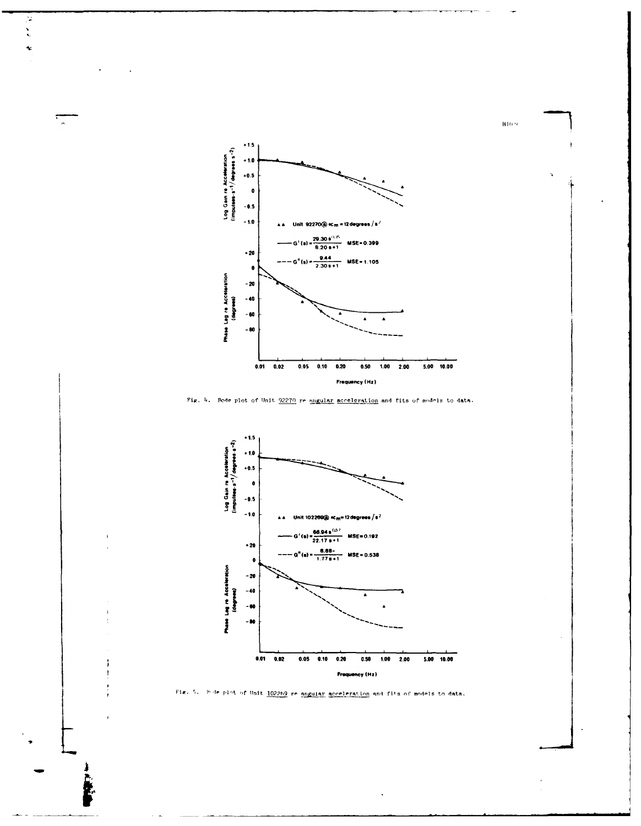

 $\mathcal{G}$  $\ddot{\cdot}$  $\ddot{\phantom{a}}$ 

्र

Fig. 4. Rode plot of Unit 92270 re angular acceleration and fits of models to data.



Fig. 5. Pade plot of Unit 102269 re angular acceleration and fits of models to data.

 $B10.9$